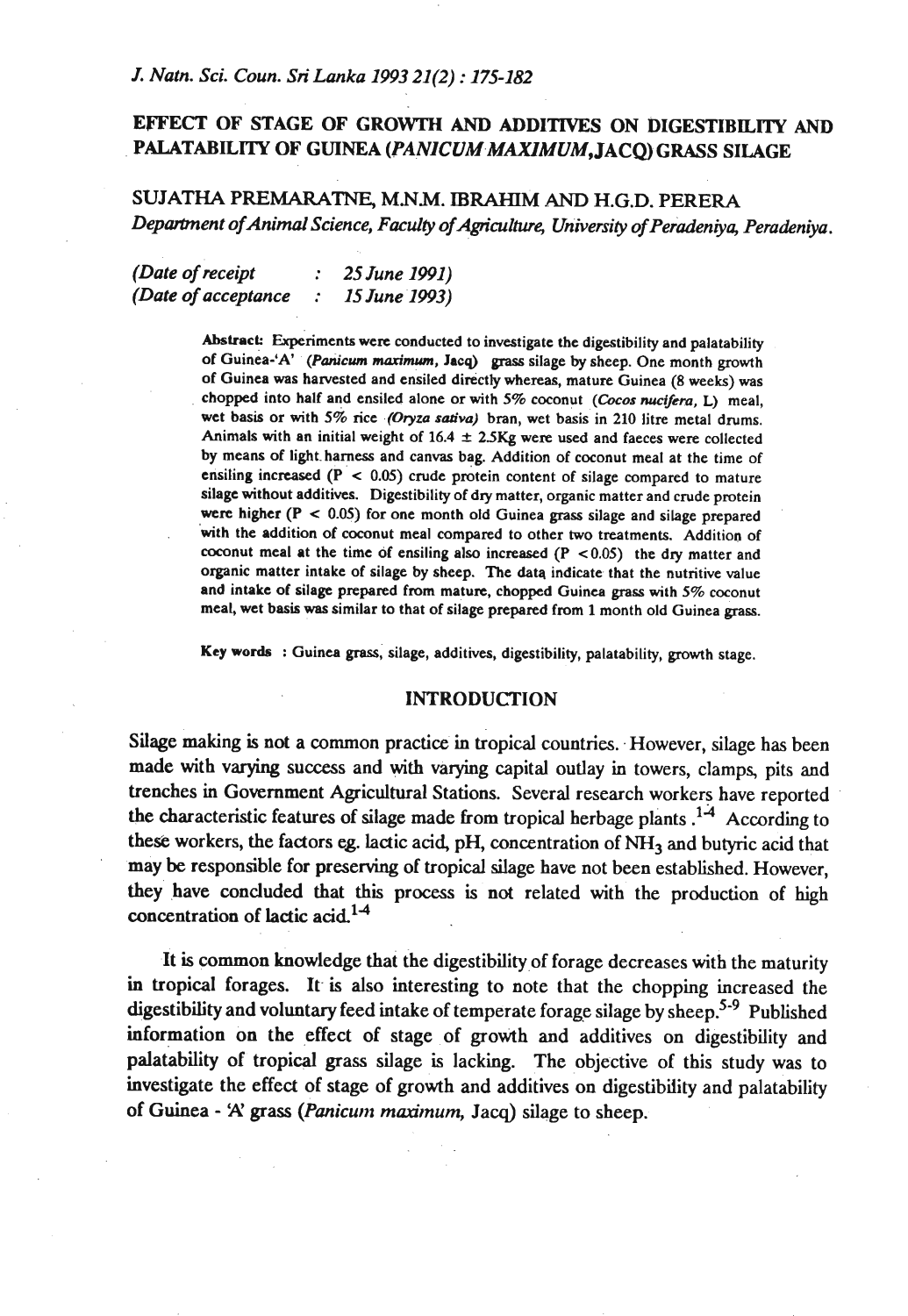# **EFFECT OF STAGE OF GROWTH AND ADDITIVES ON DIGESTIBILITY AND PALATABILITY OF GUINEA (PANICUM-MAXIMUM, JACQ) GRASS SILAGE**

# SUJATHA PREMARATNE, **MNM. IBRAHIM** AND H.G.D. PERERA Department of Animal Science, Faculty of Agriculture, University of Peradeniya, Peradeniya.

*(Date of receipt* : *25June* **1991)**  *(Date of acceptance* : *IS June 1993)* 

> **Abstract:** Experiments were conducted to investigate the digestibility and palatability of Guinea-'A' *(Pm'cwn* **marinuun. Jacq) grass** silage by sheep. One month growth of Guinea was harvested and ensiled directly whereas, mature Guinea (8 weeks) was chopped into half and ensiled alone or with 5% coconut (Cocos nucifera, L) meal, wet basis or with 5% rice (Oryza sativa) bran, wet basis in 210 litre metal drums. Animals with an initial weight of 16.4 **2** 2SKg were **used** and faeces were collected by means of light. harness and canvas bag. Addition of coconut meal at the time of ensiling increased **(P** < 0.05) crude protein content of silage compared to mature silage without additives. Digestibility of dry matter, organic matter and crude protein were higher (P < 0.05) for one month old Guinea **grass** silage and silage prepared with the addition of coconut meal compared to other **two** treatments. Addition of coconut meal at the time of ensiling also increased **(P** ~0.05) the dry matter and organic matter intake of silage by sheep. The data indicate that the nutritive value and intake of silage prepared from mature, chopped Guinea grass with 5% coconut meal, wet basis **was** similar to that of silage prepared from 1 month old Guinea grass.

**Key words** : Guinea **grass,** silage, additives, digestibility, palatability, growth stage.

### **INTRODUCTION**

Silage making is not a common practice in tropical countries. However, silage has been made with varying success and with varying capital outlay in towers, clamps, pits and trenches in Government Agricultural Stations. Several research workers have reported the characteristic features of silage made from tropical herbage plants  $14$  According to these workers, the factors eg. lactic acid, pH, concentration of NH<sub>3</sub> and butyric acid that may be responsible for preserving of tropical silage have not been established. However, they' have concluded that this process is not related with the production of high concentration of lactic acid.<sup>1-4</sup>

It is common knowledge that the digestibility of forage decreases with the maturity **in** tropical forages. It is also interesting to note that the chopping increased the digestibility and voluntary feed intake of temperate forage silage by sheep.<sup>5-9</sup> Published information on the effect of stage of growth and additives on digestibility and palatability of tropical grass silage is lacking. The objective of this study was to investigate the effect of stage of growth and additives on digestibiiity and palatability of Guinea - **A'** grass *(Panicunt madmum,* Jacq) silage to sheep.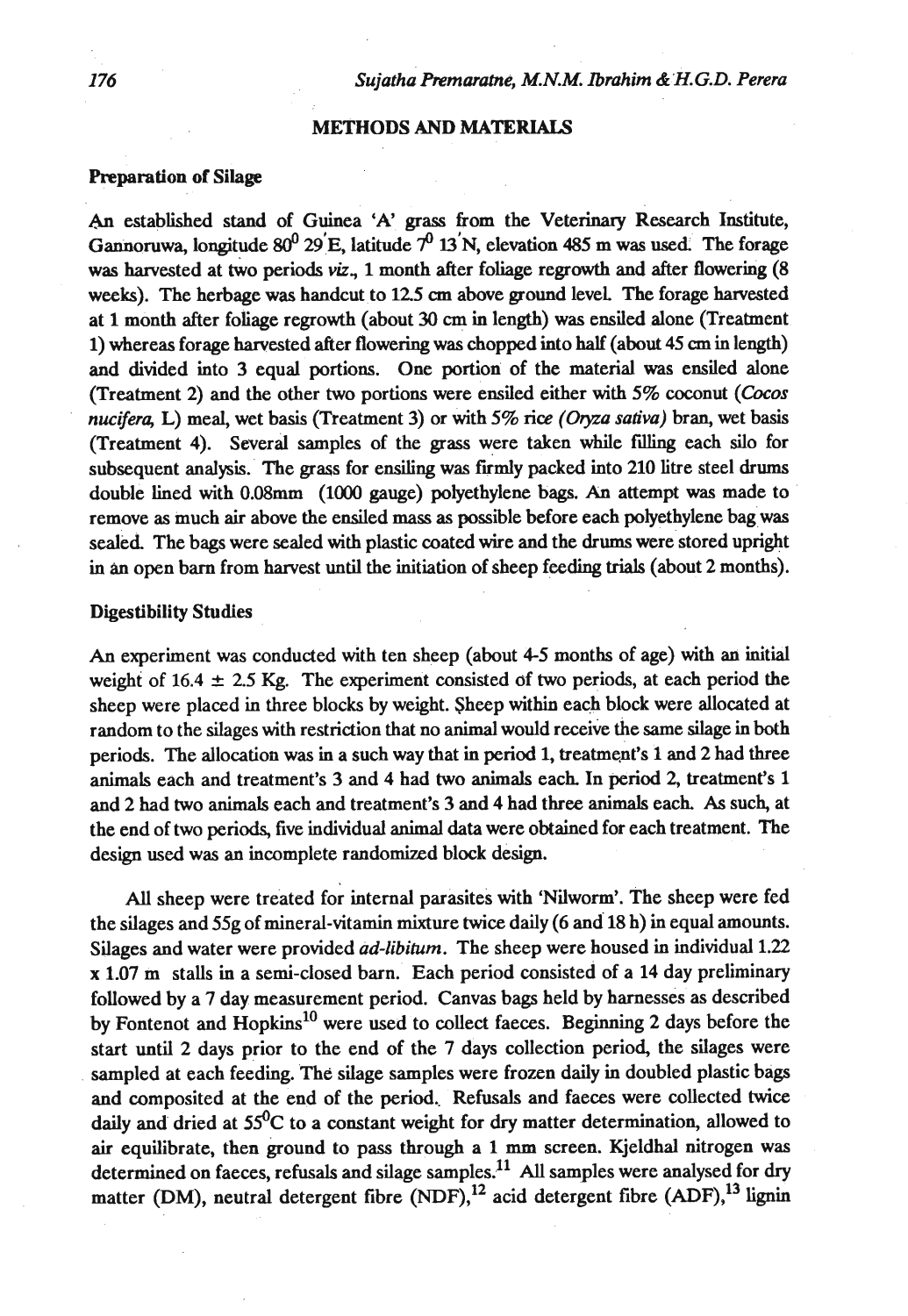#### **METHODS AND MATERIALS**

#### Preparation of **Silage**

**An** established stand of Guinea 'A' **grass** from the Veterinary Research Institute, Gannoruwa, longitude  $80^0$  29'E, latitude  $7^0$  13'N, elevation 485 m was used. The forage was harvested at two periods *viz*, 1 month after foliage regrowth and after flowering (8) weeks). The herbage was handcut to **125 cm** above ground level The forage hested at 1 month after foliage regrowth (about 30 **cm** in length) **was** ensiled alone (Treatment 1) whereas forage harvested after flowering was chopped into half (about **45 cm** in length) and divided into 3 equal portions. One portion of the material **was** ensiled alone (Treatment 2) and the other two portions were ensiled either with 5% coconut **(Cocos**  nucifera, L) meal, wet basis (Treatment 3) or with 5% rice (Oryza sativa) bran, wet basis (Treatment 4). Several samples of the grass were taken while **filling** each silo for subsequent analysis. The grass for ensiling was firmly packed into 210 litre steel drums double lined with O.08mm (1000 gauge) polyethylene bags. An attempt was made to remove as much air above the ensiled mass as possible before each polyethylene bag was sealed. The bags were sealed with plastic coated wire and the **drums** were stored upright in an open barn from harvest until the initiation of sheep feeding trials (about 2 months).

### **Digestibility Studies**

An experiment was conducted with ten sheep (about 4-5 months of age) with an initial weight of  $16.4 \pm 2.5$  Kg. The experiment consisted of two periods, at each period the sheep were placed in three blocks by weight. Sheep within each block were allocated at random to the silages with restriction that no animal would receive the same silage in both periods. The allocation was in a such way that in period 1, treatment's 1 and 2 had three animals each and treatment's 3 and 4 had two animals each In period 2, treatment's 1 and 2 had two animals each and treatment's 3 and 4 had three animals each. **As** such, at the end of two periods, five individual animal **data** were obtained for each treatment. The design used was an incomplete randomized block design.

All sheep were treated for internal parasites with 'Nilworm'. The sheep were fed the silages and 55g of mineral-vitamin mixture twice daily (6 and 18 h) in equal amounts. Silages and water were provided *ad-libihtm.* The sheep were housed in individual 1.22 **x** 1.07 m stalls in a semi-closed barn. Each period consisted of a 14 day preliminary followed by a 7 day measurement period. Canvas bags held by harnesses as described by Fontenot and  $H$ opkins<sup>10</sup> were used to collect faeces. Beginning 2 days before the start until 2 days prior to the end of the 7 days collection period, the silages were sampled at each feeding. The silage samples were frozen daily in doubled plastic bags and composited at the end of the period. Refusals and faeces were collected twice daily and dried at  $55^{\circ}$ C to a constant weight for dry matter determination, allowed to air equilibrate, then ground to pass through a 1 **mm** screen. Kjeldhal nitrogen was determined on faeces, refusals and silage samples.<sup>11</sup> All samples were analysed for dry matter (DM), neutral detergent fibre (NDF),<sup>12</sup> acid detergent fibre (ADF),<sup>13</sup> lignin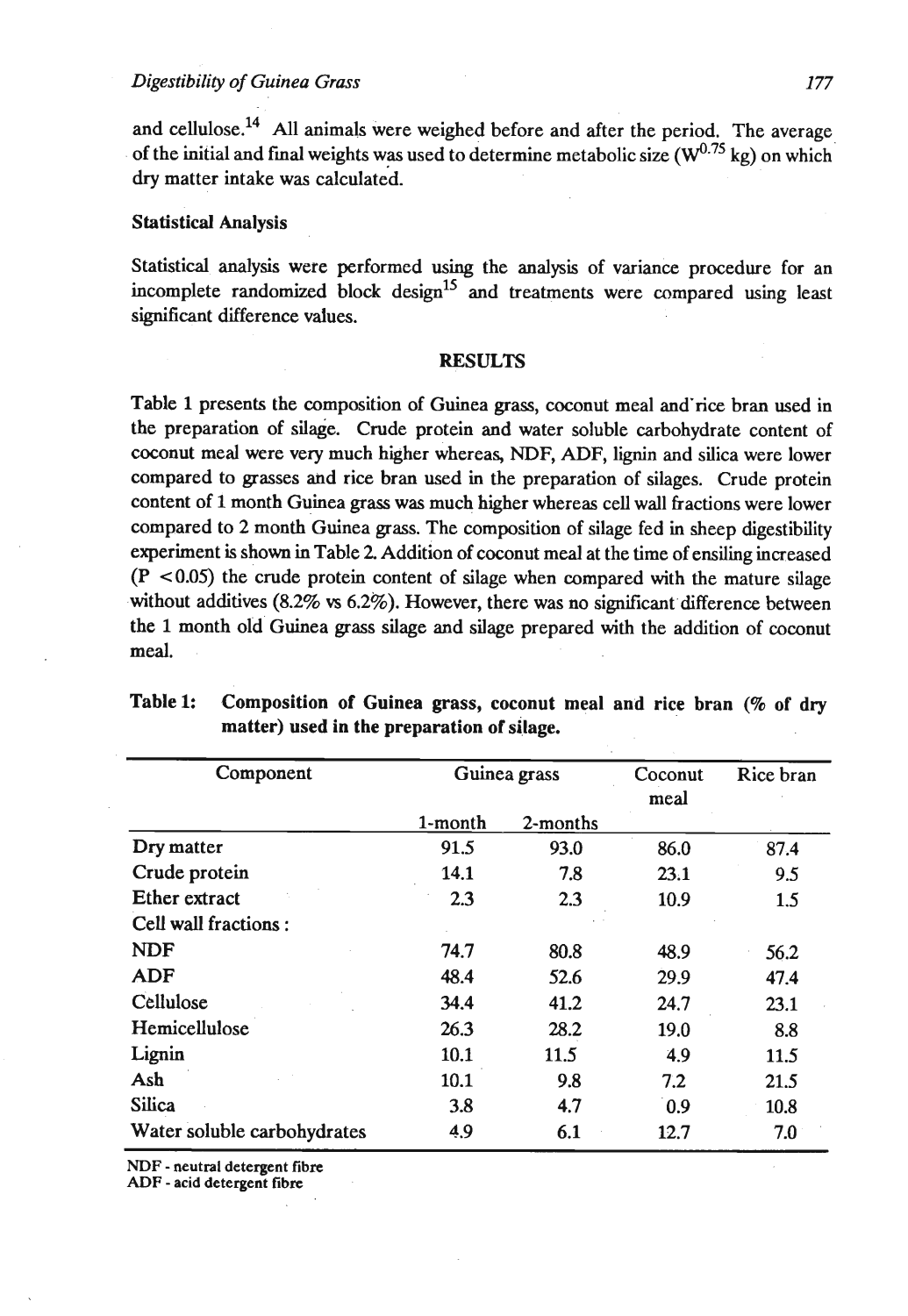and cellulose.<sup>14</sup> All animals were weighed before and after the period. The average of the initial and final weights was used to determine metabolic size  $(\mathbf{W}^{0.75}$  kg) on which dry matter intake was calculated.

#### Statistical Analysis

Statistical analysis were performed using the analysis of variance procedure for an incomplete randomized block design<sup>15</sup> and treatments were compared using least significant difference values.

#### RESULTS

Table 1 presents the composition of Guinea **grass,** coconut meal and'rice bran used in the preparation of silage. Crude protein and water soluble carbohydrate content of coconut meal were very much higher whereas, NDF, ADF, lignin and silica were lower compared to grasses and rice bran used in the preparation of silages. Crude protein content of 1 month Guinea grass was much higher whereas cell wall fractions were lower compared to 2 month Guinea grass. The composition of silage fed in sheep digestibility experiment is shown in Table 2 Addition of coconut meal at the time of ensiling increased  $(P \le 0.05)$  the crude protein content of silage when compared with the mature silage without additives (8.2% **vs** 6.2%). However, there was no signiticant difference between the 1 month old Guinea grass silage and silage prepared with the addition of coconut meal.

| Component                   | Guinea grass |          | Coconut<br>meal | Rice bran |
|-----------------------------|--------------|----------|-----------------|-----------|
|                             | 1-month      | 2-months |                 |           |
| Dry matter                  | 91.5         | 93.0     | 86.0            | 87.4      |
| Crude protein               | 14.1         | 7.8      | 23.1            | 9.5       |
| <b>Ether</b> extract        | 2.3          | 2.3      | 10.9            | 1.5       |
| Cell wall fractions:        |              |          |                 |           |
| <b>NDF</b>                  | 74.7         | 80.8     | 48.9            | 56.2      |
| <b>ADF</b>                  | 48.4         | 52.6     | 29.9            | 47.4      |
| Cellulose                   | 34.4         | 41.2     | 24.7            | 23.1      |
| Hemicellulose               | 26.3         | 28.2     | 19.0            | 8.8       |
| Lignin                      | 10.1         | 11.5     | 4.9             | 11.5      |
| Ash                         | 10.1         | 9.8      | 7.2             | 21.5      |
| <b>Silica</b>               | 3.8          | 4.7      | 0.9             | 10.8      |
| Water soluble carbohydrates | 4.9          | 6.1      | 12.7            | 7.0       |

## Table 1: Composition of Guinea grass, coconut meal and rice bran **(9%** of dry matter) used in the preparation of silage.

**NDF** - **neutral detergent fibre** 

**ADF** - **acid detergent fibre**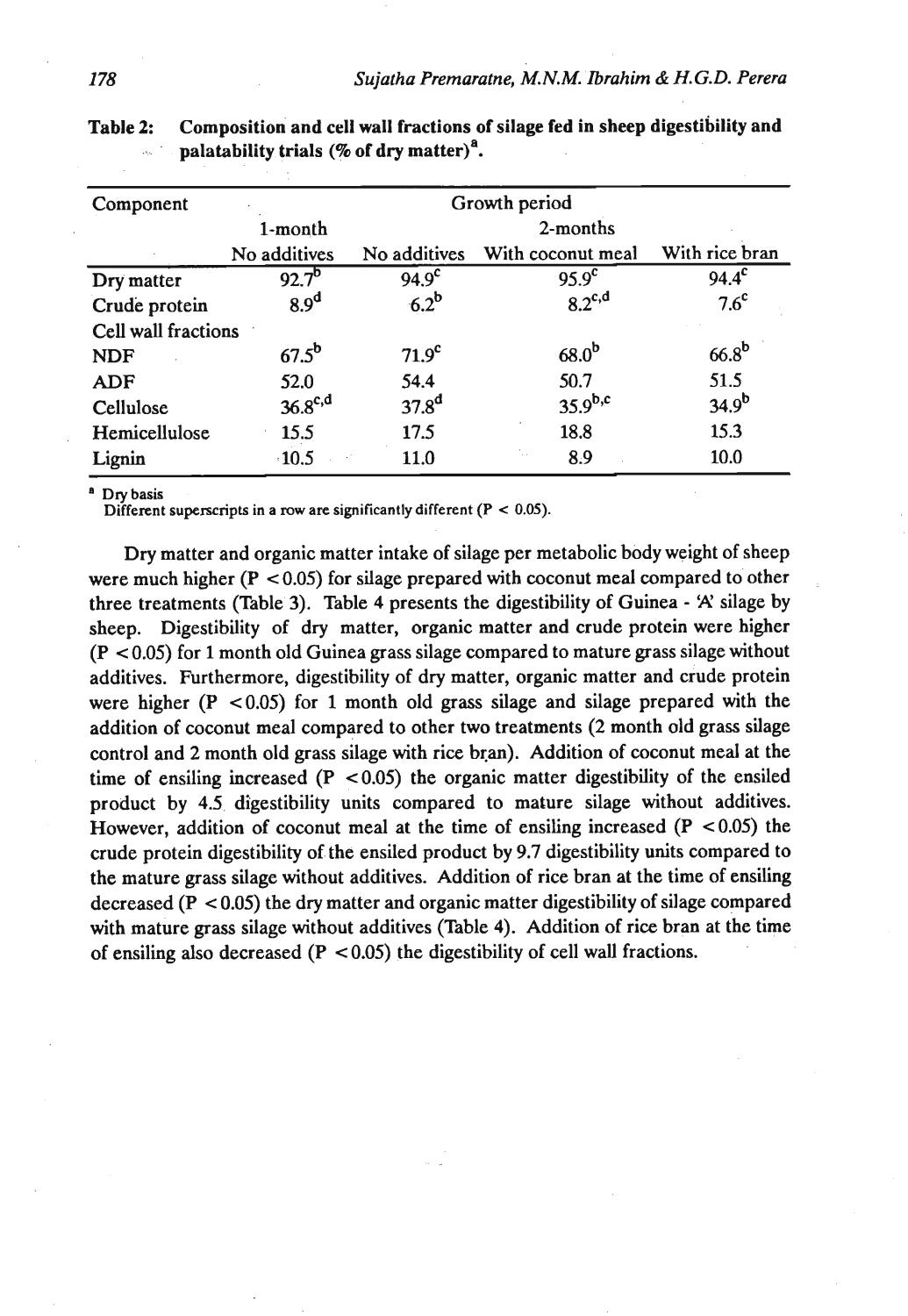| Component           | Growth period       |                   |                   |                   |  |  |
|---------------------|---------------------|-------------------|-------------------|-------------------|--|--|
|                     | 1-month             | 2-months          |                   |                   |  |  |
|                     | No additives        | No additives      | With coconut meal | With rice bran    |  |  |
| Dry matter          | $92.7^{b}$          | 94.9 <sup>c</sup> | 95.9 <sup>c</sup> | $94.4^{\circ}$    |  |  |
| Crude protein       | 8.9 <sup>d</sup>    | $6.2^b$           | $8.2^{c,d}$       | 7.6 <sup>c</sup>  |  |  |
| Cell wall fractions |                     |                   |                   |                   |  |  |
| <b>NDF</b>          | $67.5^{\mathrm{b}}$ | 71.9 <sup>c</sup> | 68.0 <sup>b</sup> | 66.8 <sup>b</sup> |  |  |
| <b>ADF</b>          | 52.0                | 54.4              | 50.7              | 51.5              |  |  |
| Cellulose           | $36.8^{c,d}$        | 37.8 <sup>d</sup> | $35.9^{b,c}$      | $34.9^{b}$        |  |  |
| Hemicellulose       | 15.5                | 17.5              | 18.8              | 15.3              |  |  |
| Lignin              | $\cdot 10.5$        | 11.0              | 8.9               | 10.0              |  |  |

| Table 2: | Composition and cell wall fractions of silage fed in sheep digestibility and |
|----------|------------------------------------------------------------------------------|
|          | palatability trials $(\%$ of dry matter) <sup>a</sup> .                      |

Dry basis

**Different superscripts in a row are significantly different (** $P < 0.05$ **).** 

Dry matter and organic matter intake of silage per metabolic body weight of sheep were much higher (P **c 0.05)** for silage prepared with coconut meal compared to other three treatments (Table **3).** Table 4 presents the digestibility of Guinea - 'A' silage by sheep. Digestibility of dry matter, organic matter and crude protein were higher (P < **0.05)** for **1** month old Guinea grass silage compared to mature grass silage without additives. Furthermore, digestibility of dry matter, organic matter and crude protein were higher (P **~0.05)** for 1 month old grass silage and silage prepared with the addition of coconut meal compared to other two treatments (2 month old grass silage control and 2 month old grass silage with rice bran). Addition of coconut meal at the time of ensiling increased  $(P < 0.05)$  the organic matter digestibility of the ensiled product by **4.5** digestibility units compared to mature silage without additives. However, addition of coconut meal at the time of ensiling increased (P **~0.05)** the crude protein digestibility of the ensiled product by **9.7** digestibility units compared to the mature grass silage without additives. Addition of rice bran at the time of ensiling decreased (P < **0.05)** the dry matter and organic matter digestibility of silage compared with mature grass silage without additives (Table 4). Addition of rice bran at the time of ensiling also decreased (P < **0.05)** the digestibility of cell wall fractions.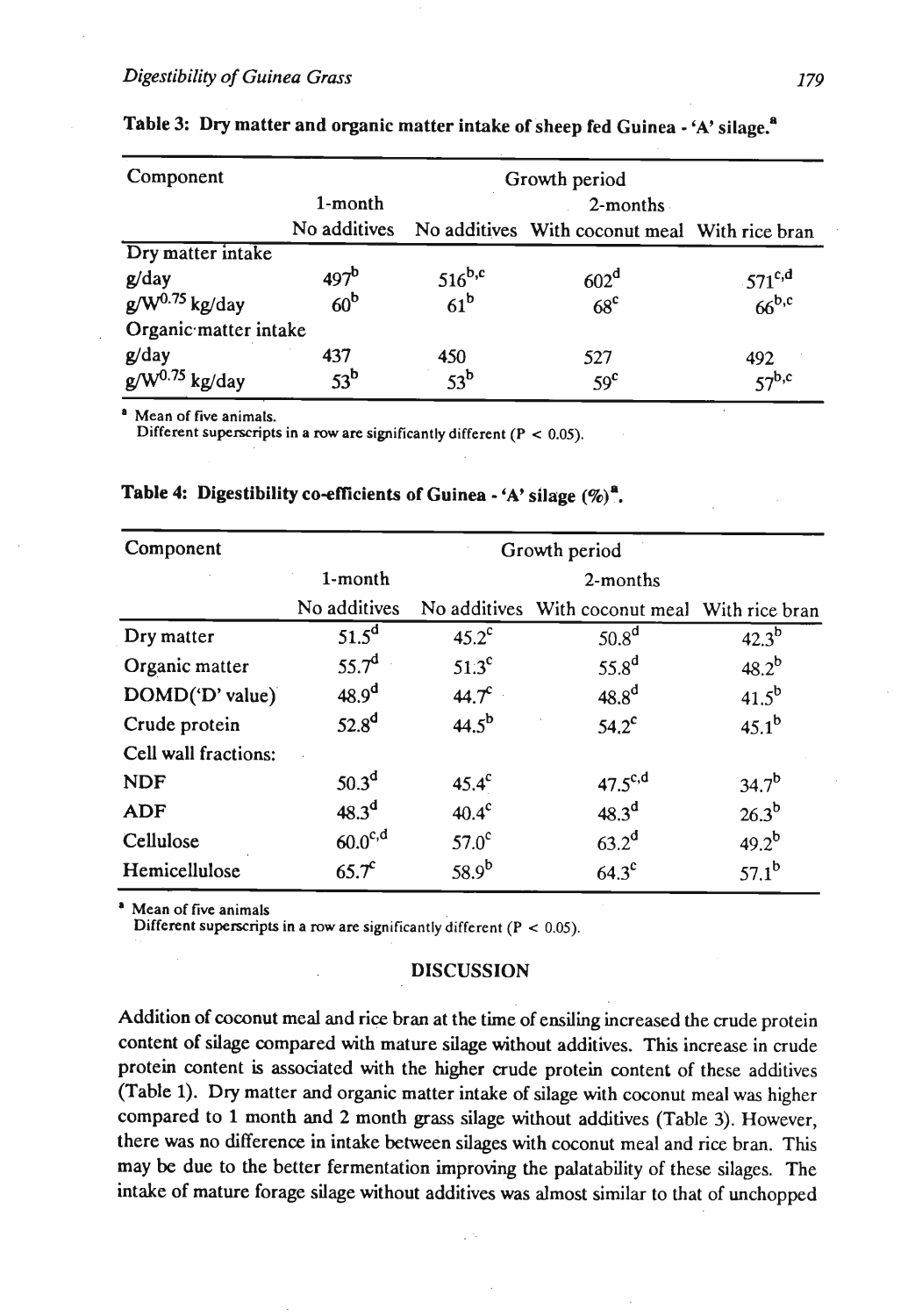| Component             |                  | Growth period   |                                               |                                   |  |  |  |
|-----------------------|------------------|-----------------|-----------------------------------------------|-----------------------------------|--|--|--|
|                       | 1-month          | $2$ -months     |                                               |                                   |  |  |  |
|                       | No additives     |                 | No additives With coconut meal With rice bran |                                   |  |  |  |
| Dry matter intake     |                  |                 |                                               |                                   |  |  |  |
| g/day                 | 497 <sup>b</sup> | $516^{b,c}$     | 602 <sup>d</sup>                              |                                   |  |  |  |
| $g/W^{0.75}$ kg/day   | 60 <sup>b</sup>  | 61 <sup>b</sup> | 68 <sup>c</sup>                               | $-571^{c,d}$<br>66 <sup>b,c</sup> |  |  |  |
| Organic matter intake |                  |                 |                                               |                                   |  |  |  |
| g/day                 | 437              | 450             | 527                                           |                                   |  |  |  |
| $g/W^{0.75}$ kg/day   | 53 <sup>b</sup>  | $53^b$          | 59 <sup>c</sup>                               | $\frac{492}{57}$ <sub>b,c</sub>   |  |  |  |

|  |  | Table 3: Dry matter and organic matter intake of sheep fed Guinea - 'A' silage. <sup>a</sup> |  |  |  |  |  |
|--|--|----------------------------------------------------------------------------------------------|--|--|--|--|--|
|--|--|----------------------------------------------------------------------------------------------|--|--|--|--|--|

Mean of five animals.

Different superscripts in a **row** are significantly different (P < 0.05).

| Component            | Growth period     |                   |                                               |            |  |  |
|----------------------|-------------------|-------------------|-----------------------------------------------|------------|--|--|
|                      | 1-month           | 2-months          |                                               |            |  |  |
|                      | No additives      |                   | No additives With coconut meal With rice bran |            |  |  |
| Dry matter           | $51.5^d$          | $45.2^{\circ}$    | 50.8 <sup>d</sup>                             | $42.3^{b}$ |  |  |
| Organic matter       | 55.7 <sup>d</sup> | $51.3^{\circ}$    | 55.8 <sup>d</sup>                             | $48.2^{b}$ |  |  |
| DOMD('D' value)      | 48.9 <sup>d</sup> | $44.7^c$          | $48.8^d$                                      | $41.5^{b}$ |  |  |
| Crude protein        | 52.8 <sup>d</sup> | $44.5^{b}$        | $54.2^c$                                      | $45.1^{b}$ |  |  |
| Cell wall fractions: |                   |                   |                                               |            |  |  |
| <b>NDF</b>           | 50.3 <sup>d</sup> | $45.4^{\circ}$    | $47.5^{\text{c,d}}$                           | $34.7^{b}$ |  |  |
| <b>ADF</b>           | 48.3 <sup>d</sup> | $40.4^{\circ}$    | 48.3 <sup>d</sup>                             | $26.3^{b}$ |  |  |
| Cellulose            | $60.0^{c,d}$      | 57.0 <sup>c</sup> | 63.2 <sup>d</sup>                             | $49.2^{b}$ |  |  |
| Hemicellulose        | $65.7^c$          | $58.9^{b}$        | $64.3^{\circ}$                                | $57.1^{b}$ |  |  |

## Table 4: Digestibility co-efficients of Guinea - 'A' silage  $(\%)^a$ .

Mean of five animals

Different superscripts in a **row** are significantly different (P < 0.05).

#### **DISCUSSION**

Addition of coconut meal and rice bran at the time of ensiling increased the crude protein content of silage compared with mature silage without additives. This increase in crude protein content is associated with the higher crude protein content of these additives (Table 1). Dry matter and organic matter intake of silage with coconut meal was higher compared to 1 month and 2 month grass silage without additives (Table 3). However, there was no difference in intake between silages with coconut meal and rice bran. This may be due to the better fermentation improving the palatability of these silages. The intake of mature forage silage without additives was almost similar to that of unchopped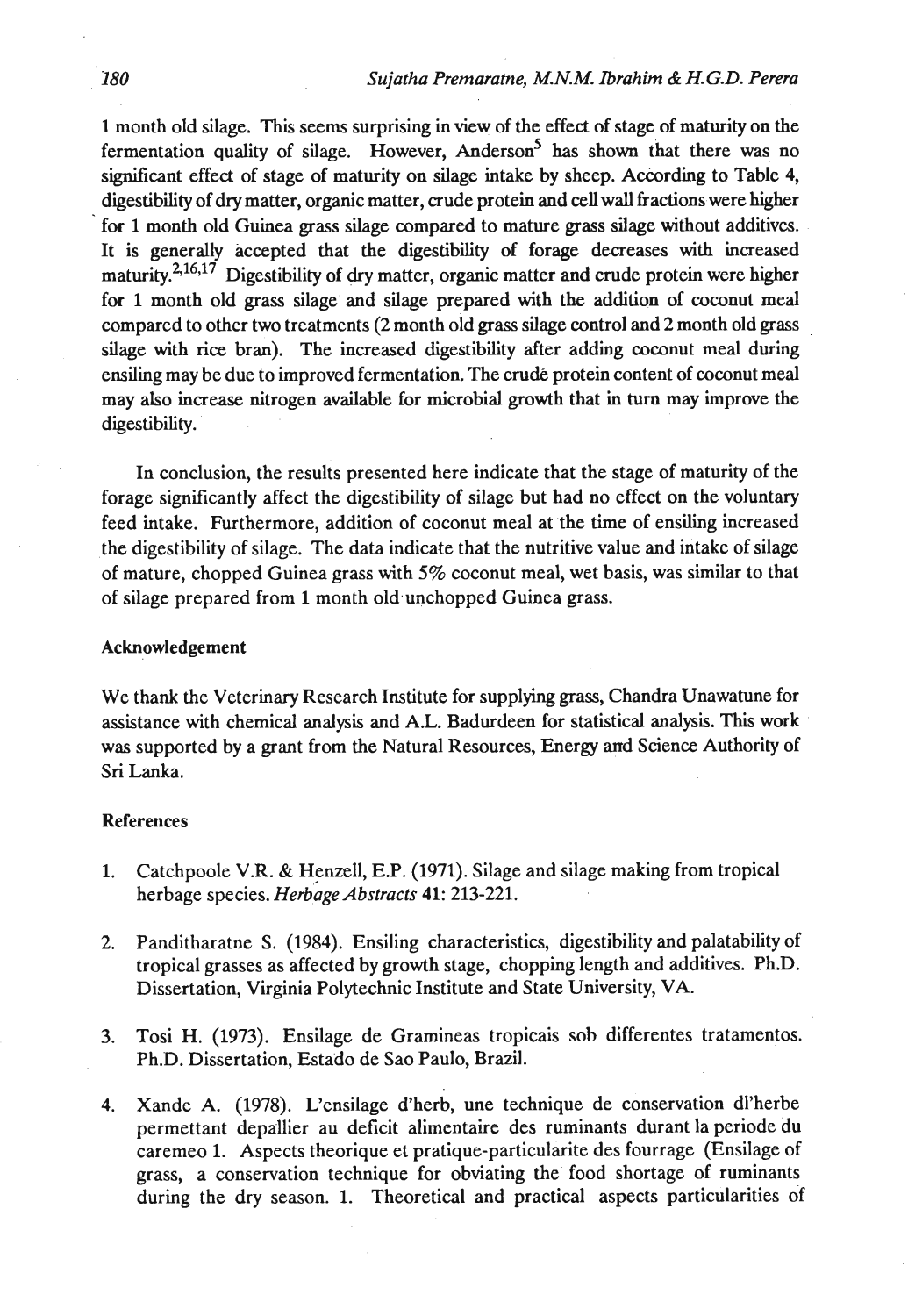1 month old silage. This seems surprising in view of the effect of stage of maturity on the fermentation quality of silage. However, Anderson<sup>5</sup> has shown that there was no significant effect of stage of maturity on silage intake by sheep. According to Table 4, digestibility of dry matter, organic matter, crude protein and cellwall fractions were higher for 1 month old Guinea grass silage compared to mature grass silage without additives. It is generally accepted that the digestibility of forage decreases with increased maturity. $2,16,17$  Digestibility of dry matter, organic matter and crude protein were higher for 1 month old grass silage and silage prepared with the addition of coconut meal compared to other two treatments (2 month old grass silage control and 2 month old grass silage with rice bran). The increased digestibiity after adding coconut meal during ensiling may be due to improved fermentation. The crude protein content of coconut meal may also increase nitrogen available for microbial growth that in **turn** may improve the digestibility.

In conclusion, the results presented here indicate that the stage of maturity of the forage significantly affect the digestibility of silage but had no effect on the voluntary feed intake. Furthermore, addition of coconut meal at the time of ensiling increased the digestibility of silage. The data indicate that the nutritive value and intake of silage of mature, chopped Guinea grass with 5% coconut meal, wet basis, was similar to that of silage prepared from 1 month old unchopped Guinea grass.

#### Acknowledgement

We thank the Veterinary Research Institute for supplying grass, Chandra Unawatune for assistance with chemical analysis and A.L. Badurdeen for statistical analysis. This work was supported by a grant from the Natural Resources, Energy and Science Authority of Sri Lanka.

#### References

- 1. Catchpoole V.R. & Henzell, E.P. (1971). Silage and silage making from tropical herbage species. *Herbage Abstracts* **41**: 213-221.
- 2. Panditharatne S. (1984). Ensiling characteristics, digestibility and palatability of tropical grasses as affected by growth stage, chopping length and additives. Ph.D. Dissertation, Virginia Polytechnic Institute and State University, VA.
- 3. Tosi H. (1973). Ensilage de Gramineas tropicais sob differentes tratamentos. Ph.D. Dissertation, Estado de Sao Paulo, Brazil.
- 4. Xande A. (1978). L'ensilage d'herb, une technique de conservation dl'herbe permettant depallier au deficit alimentaire des ruminants durant la periode du caremeo 1. Aspects theorique et pratique-particularite des fourrage (Ensilage of grass, a conservation technique for obviating the food shortage of ruminants during the dry season. 1. Theoretical and practical aspects particularities of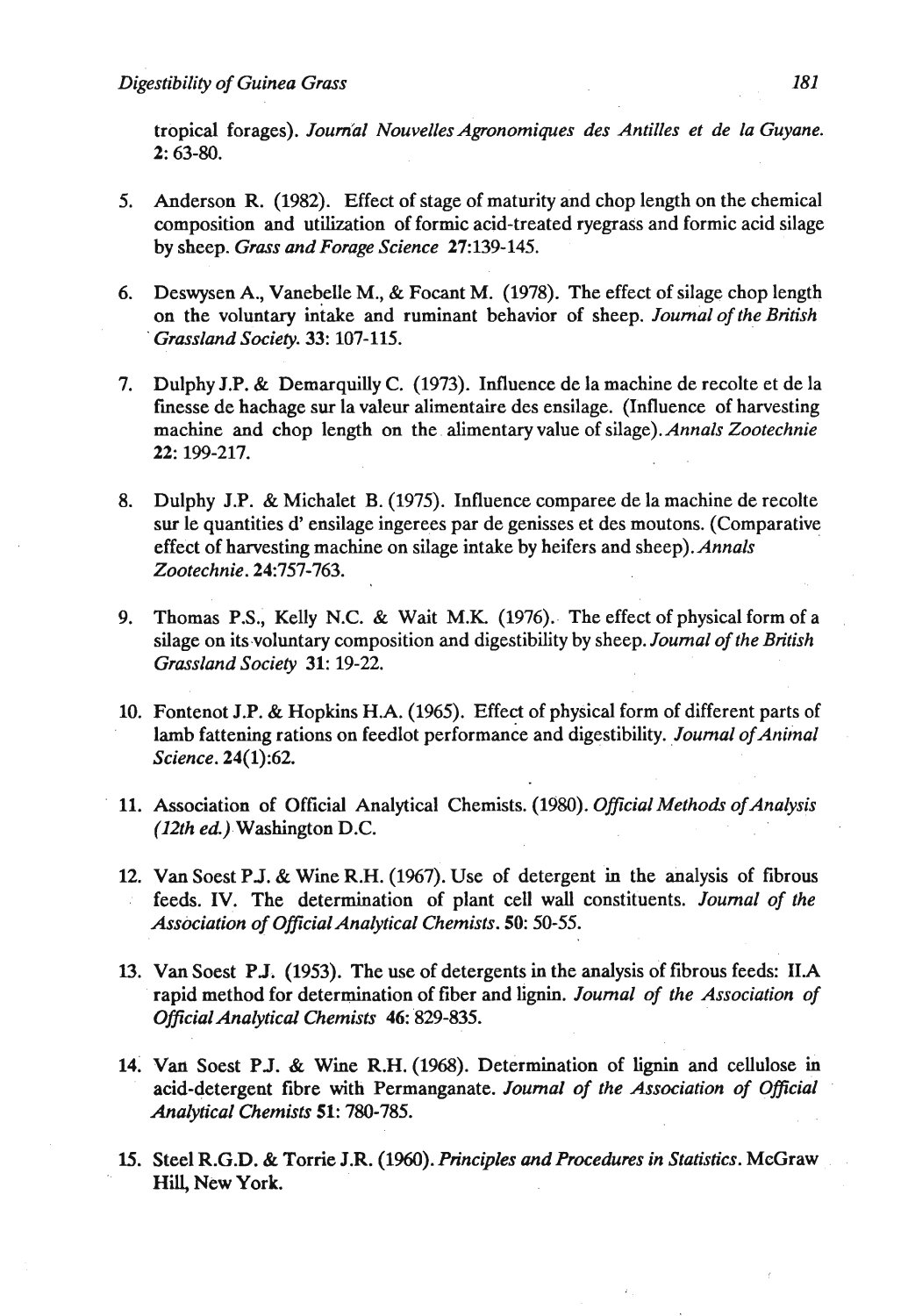tropical forages). Journal Nouvelles Agronomiques des Antilles et de la Guyane. 2: 63-80.

- 5. Anderson **R.** (1982). Effect of stage of maturity and chop length on the chemical composition and utilization of formic acid-treated ryegrass and formic acid silage by sheep. *Grass and Forage Science* 27:139-145.
- 6. Deswysen A,, Vanebelle M., & Focant M. (1978). The effect of silage chop length on the voluntary intake and ruminant behavior of sheep. *Journal of the British Grassland Society.* 33: 107-115.
- 7. Dulphy **J.P.** & Demarquilly C. (1973). Influence de la machine de recolte et de la finesse de hachage sur la valeur alimentaire des ensilage. (Influence of harvesting machine and chop length on the alimentaryvalue of *silage).Annals Zootechnie*  22: 199-217.
- **8.** Dulphy **J.P.** & Michalet **B.** (1975). Influence comparee de la machine de recolte sur le quantities **d'** ensilage ingerees par de genisses et des moutons. (Comparative effect of harvesting machine on silage intake by heifers and sheep). *Annals Zootechnie.* 24:757-763.
- 9. Thomas P.S., Kelly N.C. & Wait M.K.  $(1976)$ . The effect of physical form of a silage on itsvoluntary composition and digestibility by sheep. *Journal of the British Grassland Society* 31: 19-22.
- 10. Fontenot J.P. & Hopkins **H.A.** (1965). Effect of physical form of different parts of lamb fattening rations on feedlot performance and digestibility. *Journal of Animal Science.* 24(1):62.
- 11. Association of Official Analytical Chemists. (1980). *Official Methods of Analysis (12th ed)* Washington D.C.
- 12. Van Soest P.J. & Wine R.H. (1967). Use of detergent in the analysis of fibrous feeds. IV. The determination of plant cell wall constituents. *Journal of the Association of Oficial Analytical Chemists. 50:* 50-55.
- 13. Van Soest PJ. (1953). The use of detergents in the analysis of fibrous feeds: 1I.A rapid method for determination of fiber and lignin. *Journal of the Association of Official Analytical Chemists* 46:'829-835.
- 14. **Van** Soest PJ. & Wine **R.H.** (1968). Determination of lignin and cellulose in acid-detergent fibre with Permanganate. *Journal of the Association of Official Analytical Chemists* 51: 780-785.
- 15. Steel R.G.D. & Torrie J.R. (1960). *Principles* **and** *Procedures in Statistics.* McGraw . . Hill, New York.